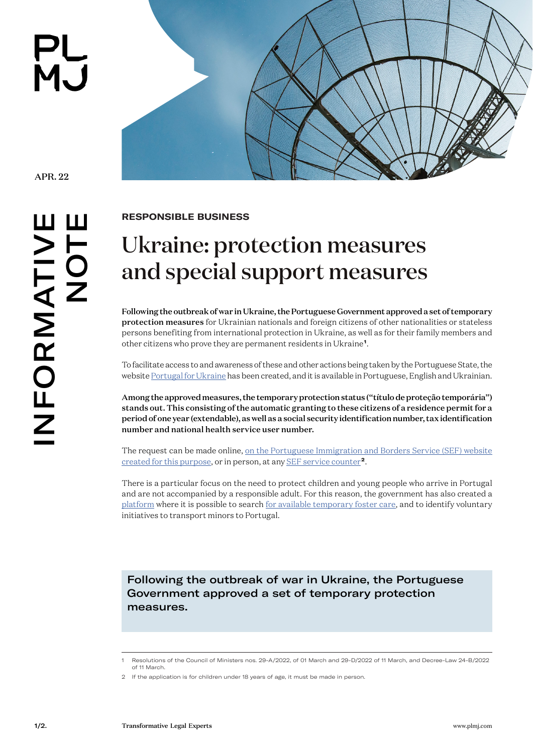PL<br>MJ



APR. 22

INFORMATIVE NFORMATIV<br>NOT

**RESPONSIBLE BUSINESS** 

## Ukraine: protection measures and special support measures

Following the outbreak of war in Ukraine, the Portuguese Government approved a set of temporary protection measures for Ukrainian nationals and foreign citizens of other nationalities or stateless persons benefiting from international protection in Ukraine, as well as for their family members and other citizens who prove they are permanent residents in Ukraine**<sup>1</sup>**.

To facilitate access to and awareness of these and other actions being taken by the Portuguese State, the website [Portugal for Ukraine](https://portugalforukraine.gov.pt/) has been created, and it is available in Portuguese, English and Ukrainian.

Among the approved measures, the temporary protection status ("título de proteção temporária") stands out. This consisting of the automatic granting to these citizens of a residence permit for a period of one year (extendable), as well as a social security identification number, tax identification number and national health service user number.

The request can be made online, on the Portuguese Immigration and Borders Service (SEF) website [created for this purpose,](https://sefforukraine.sef.pt/) or in person, at any [SEF service counter](https://imigrante.sef.pt/deslocacao-sef/)**<sup>2</sup>**.

There is a particular focus on the need to protect children and young people who arrive in Portugal and are not accompanied by a responsible adult. For this reason, the government has also created a [platform](https://portugalforukraine.gov.pt/formulario-de-contacto/) where it is possible to search [for available temporary foster care](https://portugalforukraine.gov.pt/formulario-de-contacto/), and to identify voluntary initiatives to transport minors to Portugal.

Following the outbreak of war in Ukraine, the Portuguese Government approved a set of temporary protection measures.

<sup>1</sup> Resolutions of the Council of Ministers nos. 29-A/2022, of 01 March and 29-D/2022 of 11 March, and Decree-Law 24-B/2022 of 11 March.

<sup>2</sup> If the application is for children under 18 years of age, it must be made in person.